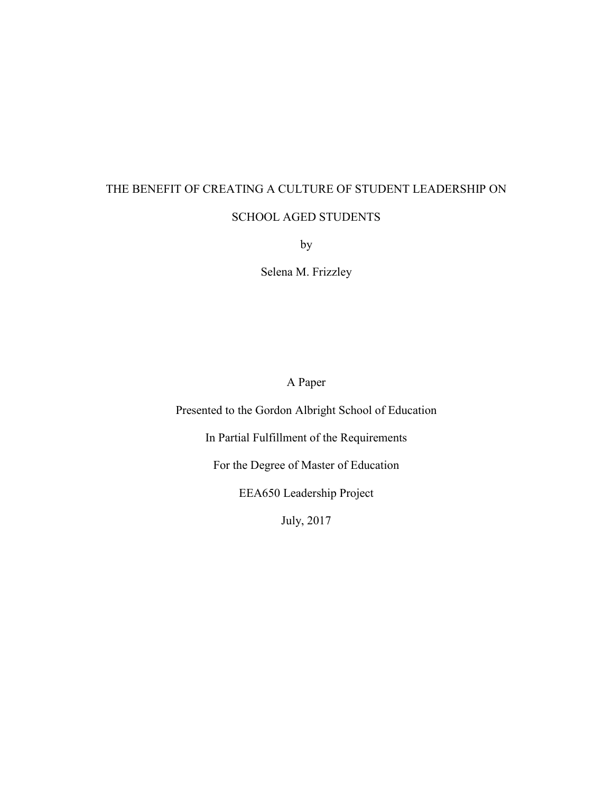## THE BENEFIT OF CREATING A CULTURE OF STUDENT LEADERSHIP ON SCHOOL AGED STUDENTS

by

Selena M. Frizzley

A Paper

Presented to the Gordon Albright School of Education

In Partial Fulfillment of the Requirements

For the Degree of Master of Education

EEA650 Leadership Project

July, 2017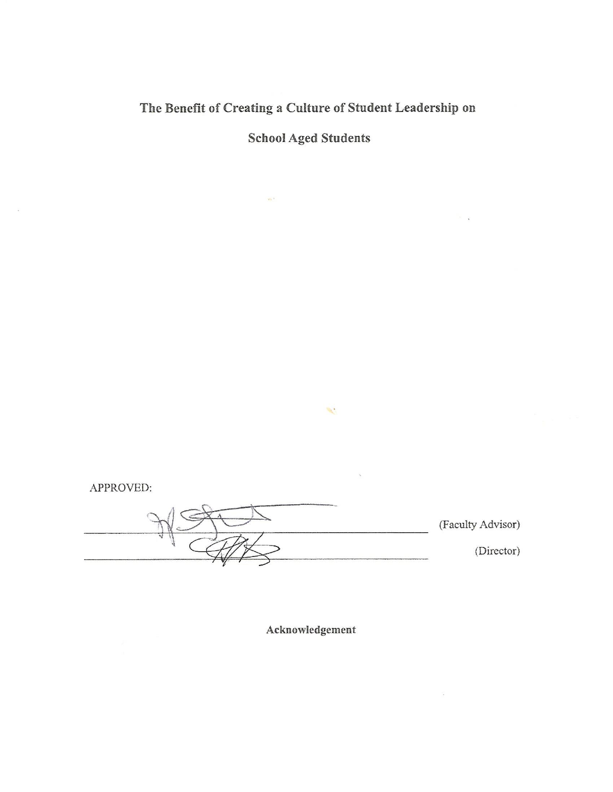The Benefit of Creating a Culture of Student Leadership on

**School Aged Students** 

APPROVED:

 $\dddot{\gamma}$ 

(Faculty Advisor) (Director)

 $\mathcal{H}_{\mathcal{S}}$ 

Acknowledgement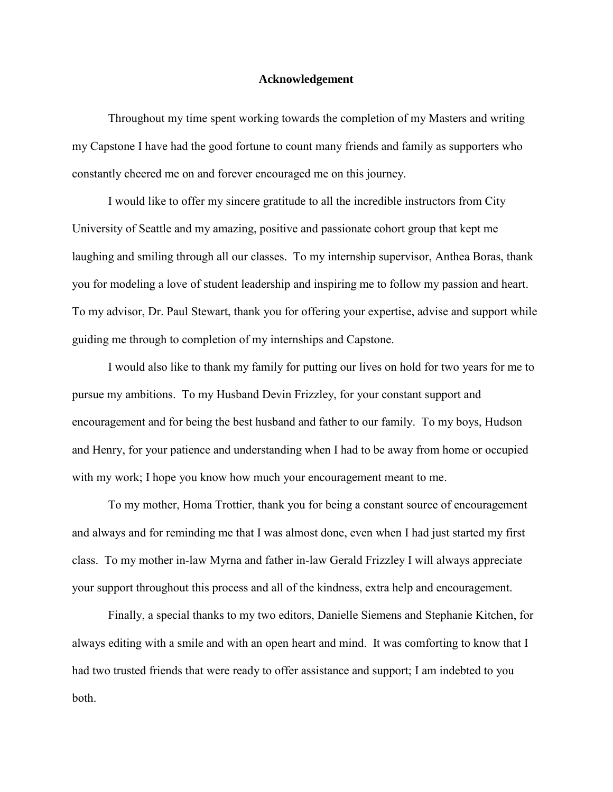#### **Acknowledgement**

<span id="page-2-0"></span>Throughout my time spent working towards the completion of my Masters and writing my Capstone I have had the good fortune to count many friends and family as supporters who constantly cheered me on and forever encouraged me on this journey.

I would like to offer my sincere gratitude to all the incredible instructors from City University of Seattle and my amazing, positive and passionate cohort group that kept me laughing and smiling through all our classes. To my internship supervisor, Anthea Boras, thank you for modeling a love of student leadership and inspiring me to follow my passion and heart. To my advisor, Dr. Paul Stewart, thank you for offering your expertise, advise and support while guiding me through to completion of my internships and Capstone.

I would also like to thank my family for putting our lives on hold for two years for me to pursue my ambitions. To my Husband Devin Frizzley, for your constant support and encouragement and for being the best husband and father to our family. To my boys, Hudson and Henry, for your patience and understanding when I had to be away from home or occupied with my work; I hope you know how much your encouragement meant to me.

To my mother, Homa Trottier, thank you for being a constant source of encouragement and always and for reminding me that I was almost done, even when I had just started my first class. To my mother in-law Myrna and father in-law Gerald Frizzley I will always appreciate your support throughout this process and all of the kindness, extra help and encouragement.

Finally, a special thanks to my two editors, Danielle Siemens and Stephanie Kitchen, for always editing with a smile and with an open heart and mind. It was comforting to know that I had two trusted friends that were ready to offer assistance and support; I am indebted to you both.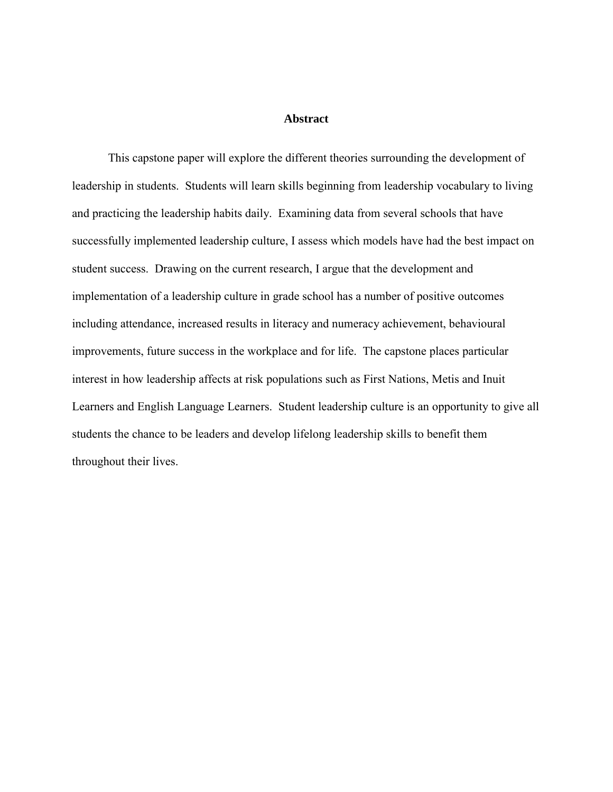#### **Abstract**

<span id="page-3-0"></span>This capstone paper will explore the different theories surrounding the development of leadership in students. Students will learn skills beginning from leadership vocabulary to living and practicing the leadership habits daily. Examining data from several schools that have successfully implemented leadership culture, I assess which models have had the best impact on student success. Drawing on the current research, I argue that the development and implementation of a leadership culture in grade school has a number of positive outcomes including attendance, increased results in literacy and numeracy achievement, behavioural improvements, future success in the workplace and for life. The capstone places particular interest in how leadership affects at risk populations such as First Nations, Metis and Inuit Learners and English Language Learners. Student leadership culture is an opportunity to give all students the chance to be leaders and develop lifelong leadership skills to benefit them throughout their lives.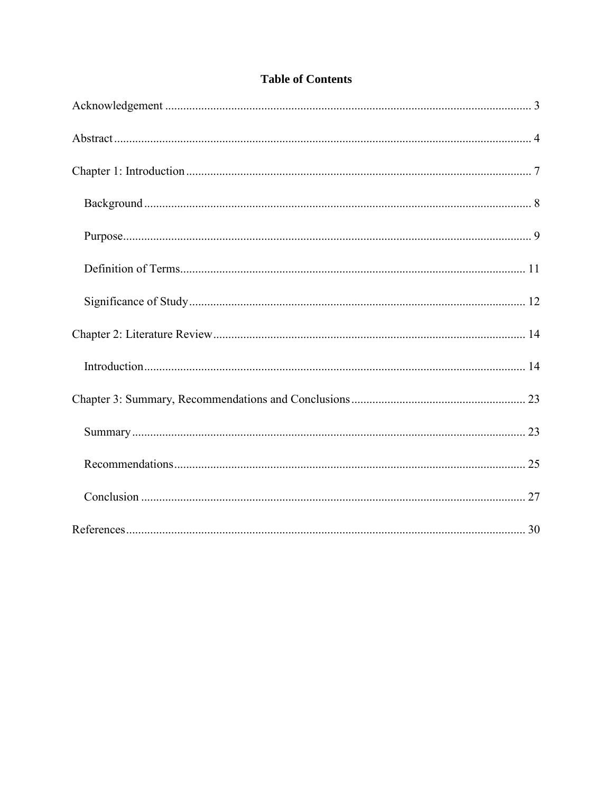### **Table of Contents**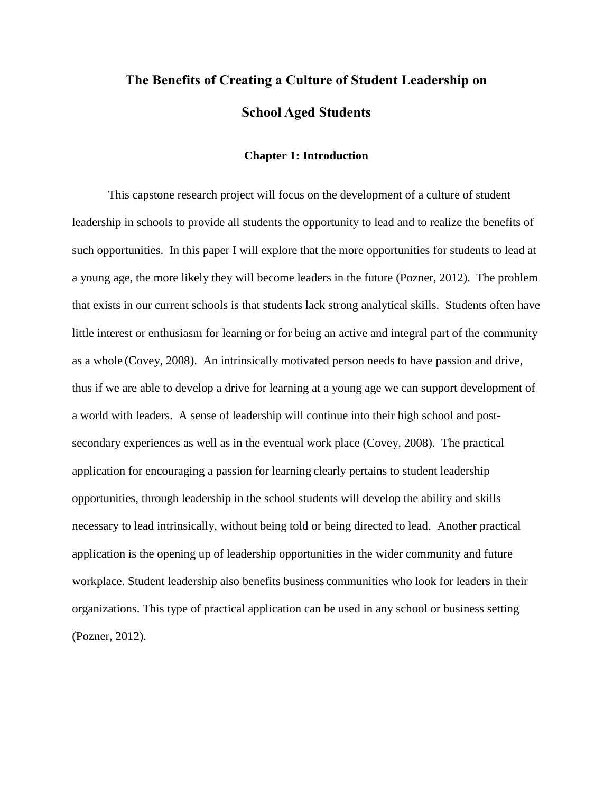# **The Benefits of Creating a Culture of Student Leadership on School Aged Students**

#### **Chapter 1: Introduction**

<span id="page-6-0"></span>This capstone research project will focus on the development of a culture of student leadership in schools to provide all students the opportunity to lead and to realize the benefits of such opportunities. In this paper I will explore that the more opportunities for students to lead at a young age, the more likely they will become leaders in the future (Pozner, 2012). The problem that exists in our current schools is that students lack strong analytical skills. Students often have little interest or enthusiasm for learning or for being an active and integral part of the community as a whole (Covey, 2008). An intrinsically motivated person needs to have passion and drive, thus if we are able to develop a drive for learning at a young age we can support development of a world with leaders. A sense of leadership will continue into their high school and postsecondary experiences as well as in the eventual work place (Covey, 2008). The practical application for encouraging a passion for learning clearly pertains to student leadership opportunities, through leadership in the school students will develop the ability and skills necessary to lead intrinsically, without being told or being directed to lead. Another practical application is the opening up of leadership opportunities in the wider community and future workplace. Student leadership also benefits business communities who look for leaders in their organizations. This type of practical application can be used in any school or business setting (Pozner, 2012).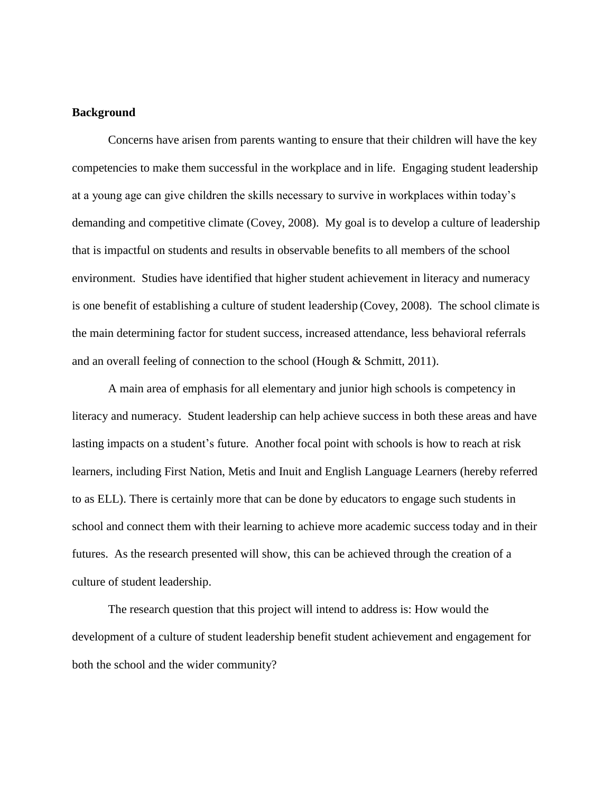#### <span id="page-7-0"></span>**Background**

Concerns have arisen from parents wanting to ensure that their children will have the key competencies to make them successful in the workplace and in life. Engaging student leadership at a young age can give children the skills necessary to survive in workplaces within today's demanding and competitive climate (Covey, 2008). My goal is to develop a culture of leadership that is impactful on students and results in observable benefits to all members of the school environment. Studies have identified that higher student achievement in literacy and numeracy is one benefit of establishing a culture of student leadership (Covey, 2008). The school climate is the main determining factor for student success, increased attendance, less behavioral referrals and an overall feeling of connection to the school (Hough & Schmitt, 2011).

A main area of emphasis for all elementary and junior high schools is competency in literacy and numeracy. Student leadership can help achieve success in both these areas and have lasting impacts on a student's future. Another focal point with schools is how to reach at risk learners, including First Nation, Metis and Inuit and English Language Learners (hereby referred to as ELL). There is certainly more that can be done by educators to engage such students in school and connect them with their learning to achieve more academic success today and in their futures. As the research presented will show, this can be achieved through the creation of a culture of student leadership.

The research question that this project will intend to address is: How would the development of a culture of student leadership benefit student achievement and engagement for both the school and the wider community?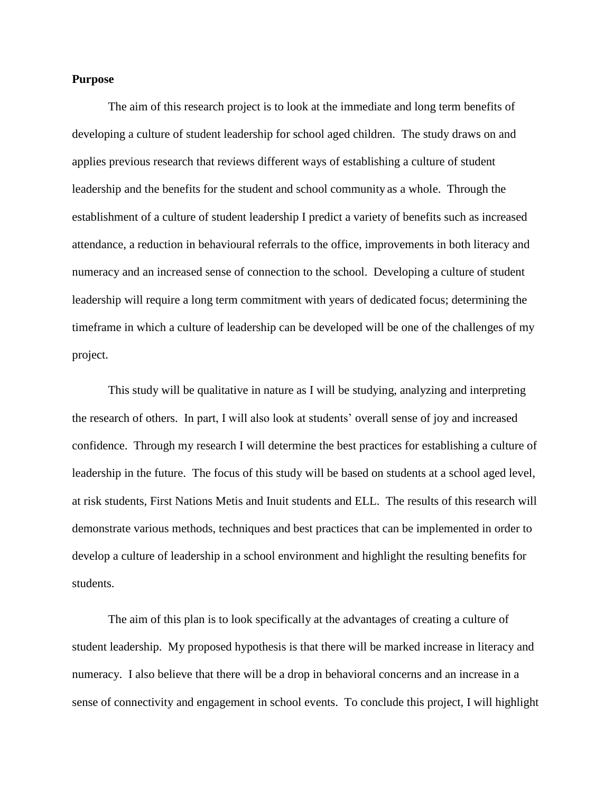#### <span id="page-8-0"></span>**Purpose**

The aim of this research project is to look at the immediate and long term benefits of developing a culture of student leadership for school aged children. The study draws on and applies previous research that reviews different ways of establishing a culture of student leadership and the benefits for the student and school community as a whole. Through the establishment of a culture of student leadership I predict a variety of benefits such as increased attendance, a reduction in behavioural referrals to the office, improvements in both literacy and numeracy and an increased sense of connection to the school. Developing a culture of student leadership will require a long term commitment with years of dedicated focus; determining the timeframe in which a culture of leadership can be developed will be one of the challenges of my project.

This study will be qualitative in nature as I will be studying, analyzing and interpreting the research of others. In part, I will also look at students' overall sense of joy and increased confidence. Through my research I will determine the best practices for establishing a culture of leadership in the future. The focus of this study will be based on students at a school aged level, at risk students, First Nations Metis and Inuit students and ELL. The results of this research will demonstrate various methods, techniques and best practices that can be implemented in order to develop a culture of leadership in a school environment and highlight the resulting benefits for students.

The aim of this plan is to look specifically at the advantages of creating a culture of student leadership. My proposed hypothesis is that there will be marked increase in literacy and numeracy. I also believe that there will be a drop in behavioral concerns and an increase in a sense of connectivity and engagement in school events. To conclude this project, I will highlight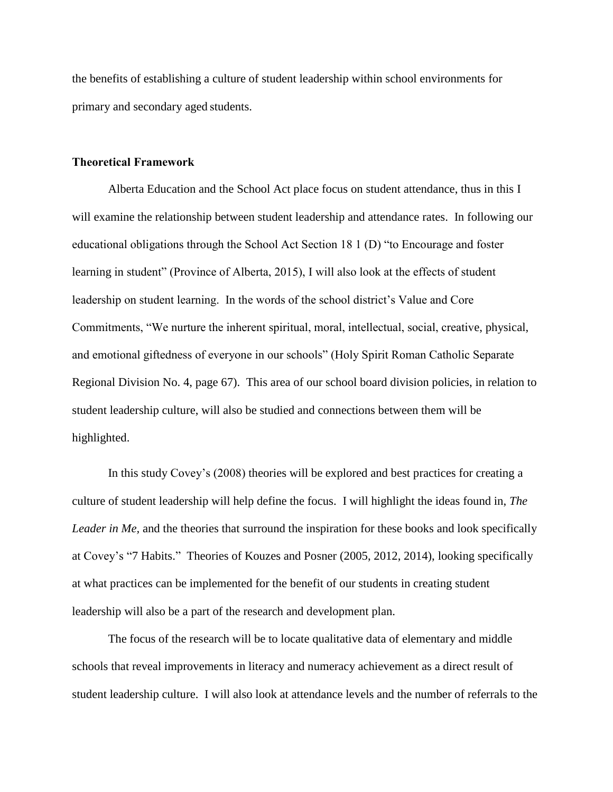the benefits of establishing a culture of student leadership within school environments for primary and secondary aged students.

#### **Theoretical Framework**

Alberta Education and the School Act place focus on student attendance, thus in this I will examine the relationship between student leadership and attendance rates. In following our educational obligations through the School Act Section 18 1 (D) "to Encourage and foster learning in student" (Province of Alberta, 2015), I will also look at the effects of student leadership on student learning. In the words of the school district's Value and Core Commitments, "We nurture the inherent spiritual, moral, intellectual, social, creative, physical, and emotional giftedness of everyone in our schools" (Holy Spirit Roman Catholic Separate Regional Division No. 4, page 67). This area of our school board division policies, in relation to student leadership culture, will also be studied and connections between them will be highlighted.

In this study Covey's (2008) theories will be explored and best practices for creating a culture of student leadership will help define the focus. I will highlight the ideas found in, *The Leader in Me*, and the theories that surround the inspiration for these books and look specifically at Covey's "7 Habits." Theories of Kouzes and Posner (2005, 2012, 2014), looking specifically at what practices can be implemented for the benefit of our students in creating student leadership will also be a part of the research and development plan.

The focus of the research will be to locate qualitative data of elementary and middle schools that reveal improvements in literacy and numeracy achievement as a direct result of student leadership culture. I will also look at attendance levels and the number of referrals to the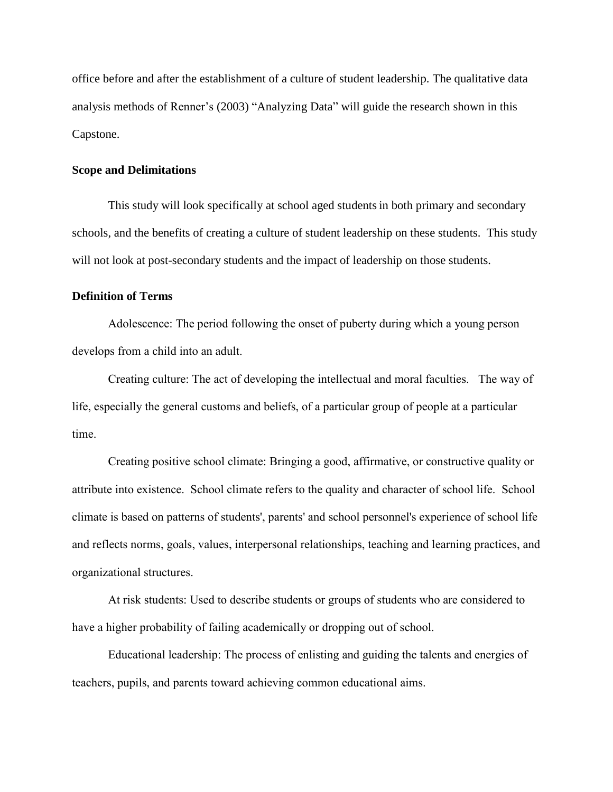office before and after the establishment of a culture of student leadership. The qualitative data analysis methods of Renner's (2003) "Analyzing Data" will guide the research shown in this Capstone.

#### **Scope and Delimitations**

This study will look specifically at school aged studentsin both primary and secondary schools, and the benefits of creating a culture of student leadership on these students. This study will not look at post-secondary students and the impact of leadership on those students.

#### <span id="page-10-0"></span>**Definition of Terms**

Adolescence: The period following the onset of puberty during which a young person develops from a child into an adult.

Creating culture: The act of developing the intellectual and moral faculties. The way of life, especially the general customs and beliefs, of a particular group of people at a particular time.

Creating positive school climate: Bringing a good, affirmative, or constructive quality or attribute into existence. School climate refers to the quality and character of school life. School climate is based on patterns of students', parents' and school personnel's experience of school life and reflects norms, goals, values, interpersonal relationships, teaching and learning practices, and organizational structures.

At risk students: Used to describe students or groups of students who are considered to have a higher probability of failing academically or dropping out of school.

Educational leadership: The process of enlisting and guiding the talents and energies of teachers, pupils, and parents toward achieving common educational aims.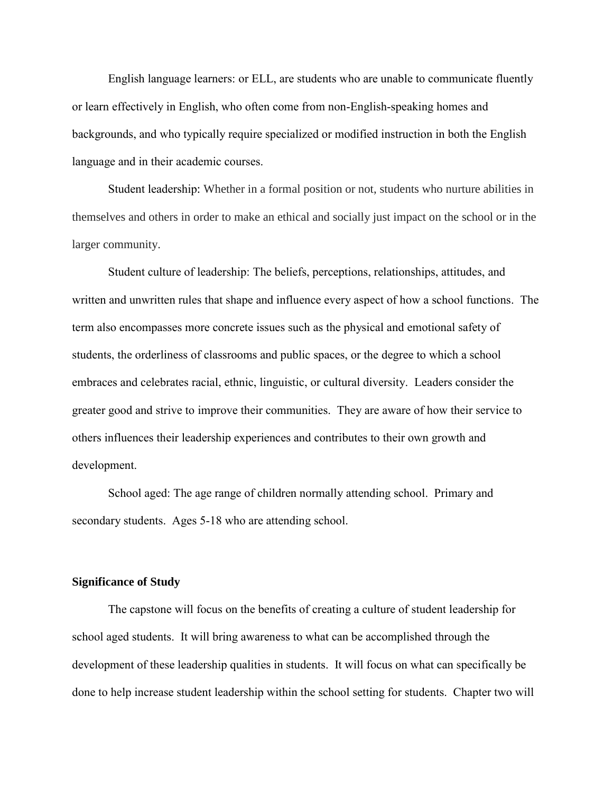English language learners: or ELL, are students who are unable to communicate fluently or learn effectively in English, who often come from non-English-speaking homes and backgrounds, and who typically require specialized or modified instruction in both the English language and in their academic courses.

Student leadership: Whether in a formal position or not, students who nurture abilities in themselves and others in order to make an ethical and socially just impact on the school or in the larger community.

Student culture of leadership: The beliefs, perceptions, relationships, attitudes, and written and unwritten rules that shape and influence every aspect of how a school functions. The term also encompasses more concrete issues such as the physical and emotional safety of students, the orderliness of classrooms and public spaces, or the degree to which a school embraces and celebrates racial, ethnic, linguistic, or cultural diversity. Leaders consider the greater good and strive to improve their communities. They are aware of how their service to others influences their leadership experiences and contributes to their own growth and development.

School aged: The age range of children normally attending school. Primary and secondary students. Ages 5-18 who are attending school.

#### <span id="page-11-0"></span>**Significance of Study**

The capstone will focus on the benefits of creating a culture of student leadership for school aged students. It will bring awareness to what can be accomplished through the development of these leadership qualities in students. It will focus on what can specifically be done to help increase student leadership within the school setting for students. Chapter two will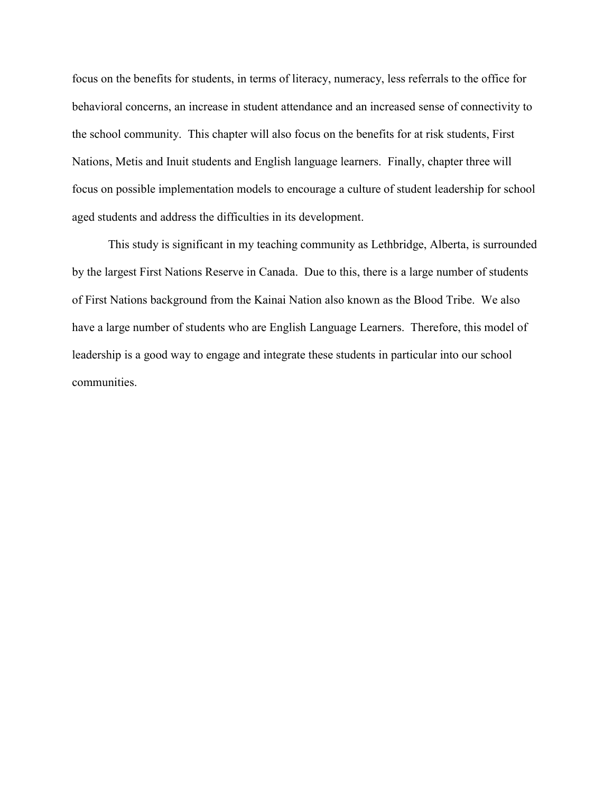focus on the benefits for students, in terms of literacy, numeracy, less referrals to the office for behavioral concerns, an increase in student attendance and an increased sense of connectivity to the school community. This chapter will also focus on the benefits for at risk students, First Nations, Metis and Inuit students and English language learners. Finally, chapter three will focus on possible implementation models to encourage a culture of student leadership for school aged students and address the difficulties in its development.

This study is significant in my teaching community as Lethbridge, Alberta, is surrounded by the largest First Nations Reserve in Canada. Due to this, there is a large number of students of First Nations background from the Kainai Nation also known as the Blood Tribe. We also have a large number of students who are English Language Learners. Therefore, this model of leadership is a good way to engage and integrate these students in particular into our school communities.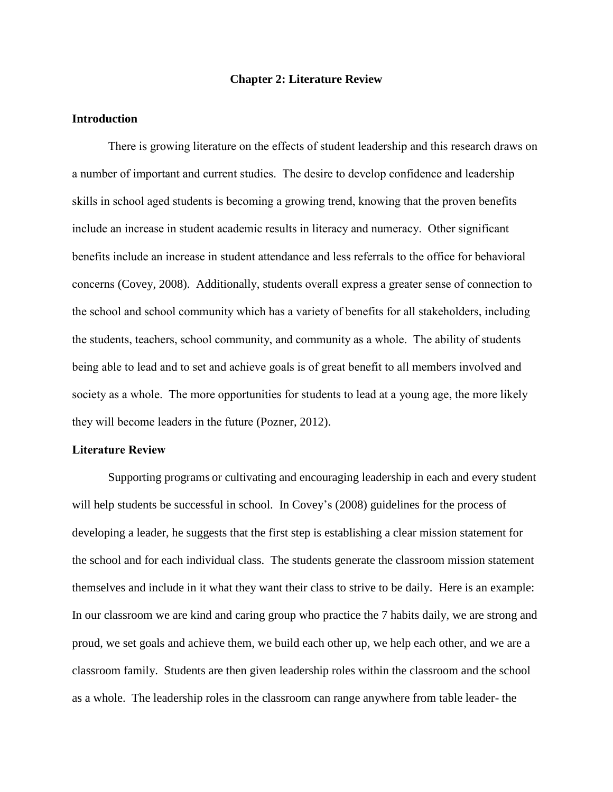#### **Chapter 2: Literature Review**

#### <span id="page-13-1"></span><span id="page-13-0"></span>**Introduction**

There is growing literature on the effects of student leadership and this research draws on a number of important and current studies. The desire to develop confidence and leadership skills in school aged students is becoming a growing trend, knowing that the proven benefits include an increase in student academic results in literacy and numeracy. Other significant benefits include an increase in student attendance and less referrals to the office for behavioral concerns (Covey, 2008). Additionally, students overall express a greater sense of connection to the school and school community which has a variety of benefits for all stakeholders, including the students, teachers, school community, and community as a whole. The ability of students being able to lead and to set and achieve goals is of great benefit to all members involved and society as a whole. The more opportunities for students to lead at a young age, the more likely they will become leaders in the future (Pozner, 2012).

#### **Literature Review**

Supporting programs or cultivating and encouraging leadership in each and every student will help students be successful in school. In Covey's (2008) guidelines for the process of developing a leader, he suggests that the first step is establishing a clear mission statement for the school and for each individual class. The students generate the classroom mission statement themselves and include in it what they want their class to strive to be daily. Here is an example: In our classroom we are kind and caring group who practice the 7 habits daily, we are strong and proud, we set goals and achieve them, we build each other up, we help each other, and we are a classroom family. Students are then given leadership roles within the classroom and the school as a whole. The leadership roles in the classroom can range anywhere from table leader- the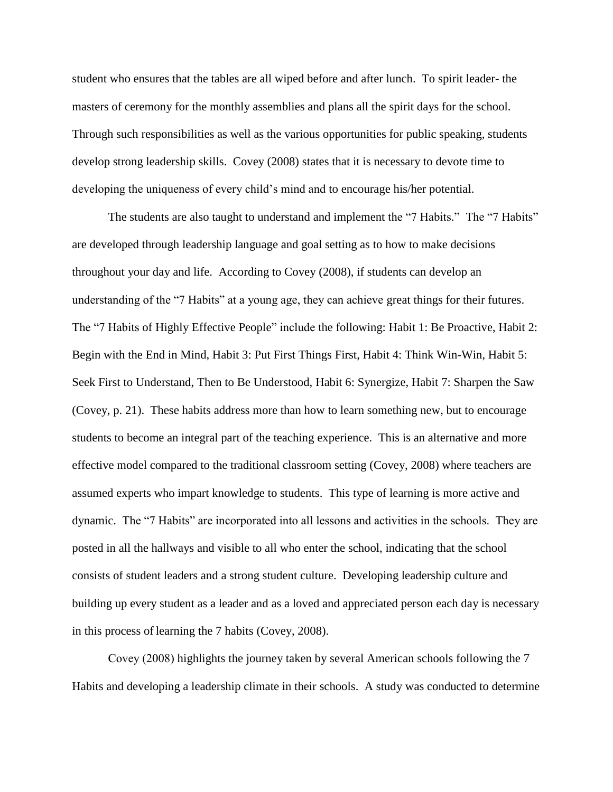student who ensures that the tables are all wiped before and after lunch. To spirit leader- the masters of ceremony for the monthly assemblies and plans all the spirit days for the school. Through such responsibilities as well as the various opportunities for public speaking, students develop strong leadership skills. Covey (2008) states that it is necessary to devote time to developing the uniqueness of every child's mind and to encourage his/her potential.

The students are also taught to understand and implement the "7 Habits." The "7 Habits" are developed through leadership language and goal setting as to how to make decisions throughout your day and life. According to Covey (2008), if students can develop an understanding of the "7 Habits" at a young age, they can achieve great things for their futures. The "7 Habits of Highly Effective People" include the following: Habit 1: Be Proactive, Habit 2: Begin with the End in Mind, Habit 3: Put First Things First, Habit 4: Think Win-Win, Habit 5: Seek First to Understand, Then to Be Understood, Habit 6: Synergize, Habit 7: Sharpen the Saw (Covey, p. 21). These habits address more than how to learn something new, but to encourage students to become an integral part of the teaching experience. This is an alternative and more effective model compared to the traditional classroom setting (Covey, 2008) where teachers are assumed experts who impart knowledge to students. This type of learning is more active and dynamic. The "7 Habits" are incorporated into all lessons and activities in the schools. They are posted in all the hallways and visible to all who enter the school, indicating that the school consists of student leaders and a strong student culture. Developing leadership culture and building up every student as a leader and as a loved and appreciated person each day is necessary in this process of learning the 7 habits (Covey, 2008).

Covey (2008) highlights the journey taken by several American schools following the 7 Habits and developing a leadership climate in their schools. A study was conducted to determine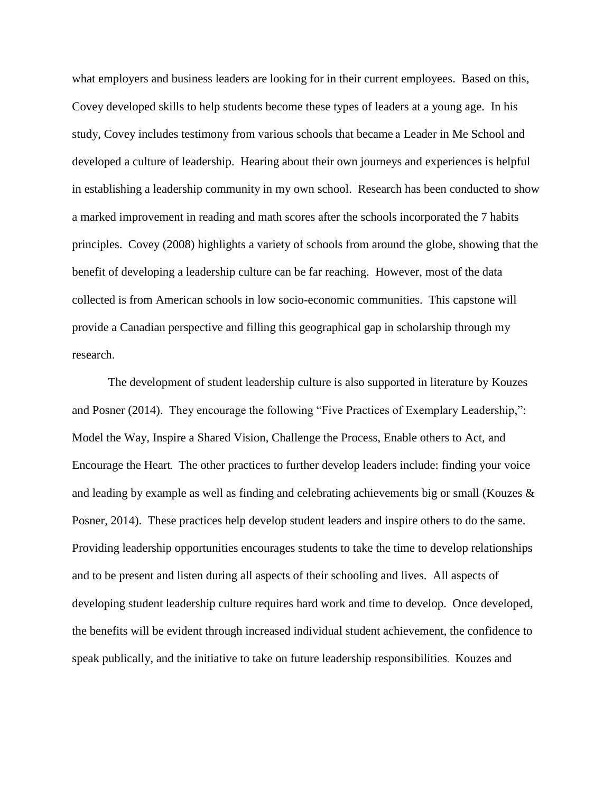what employers and business leaders are looking for in their current employees. Based on this, Covey developed skills to help students become these types of leaders at a young age. In his study, Covey includes testimony from various schools that became a Leader in Me School and developed a culture of leadership. Hearing about their own journeys and experiences is helpful in establishing a leadership community in my own school. Research has been conducted to show a marked improvement in reading and math scores after the schools incorporated the 7 habits principles. Covey (2008) highlights a variety of schools from around the globe, showing that the benefit of developing a leadership culture can be far reaching. However, most of the data collected is from American schools in low socio-economic communities. This capstone will provide a Canadian perspective and filling this geographical gap in scholarship through my research.

The development of student leadership culture is also supported in literature by Kouzes and Posner (2014). They encourage the following "Five Practices of Exemplary Leadership,": Model the Way, Inspire a Shared Vision, Challenge the Process, Enable others to Act, and Encourage the Heart. The other practices to further develop leaders include: finding your voice and leading by example as well as finding and celebrating achievements big or small (Kouzes & Posner, 2014). These practices help develop student leaders and inspire others to do the same. Providing leadership opportunities encourages students to take the time to develop relationships and to be present and listen during all aspects of their schooling and lives. All aspects of developing student leadership culture requires hard work and time to develop. Once developed, the benefits will be evident through increased individual student achievement, the confidence to speak publically, and the initiative to take on future leadership responsibilities. Kouzes and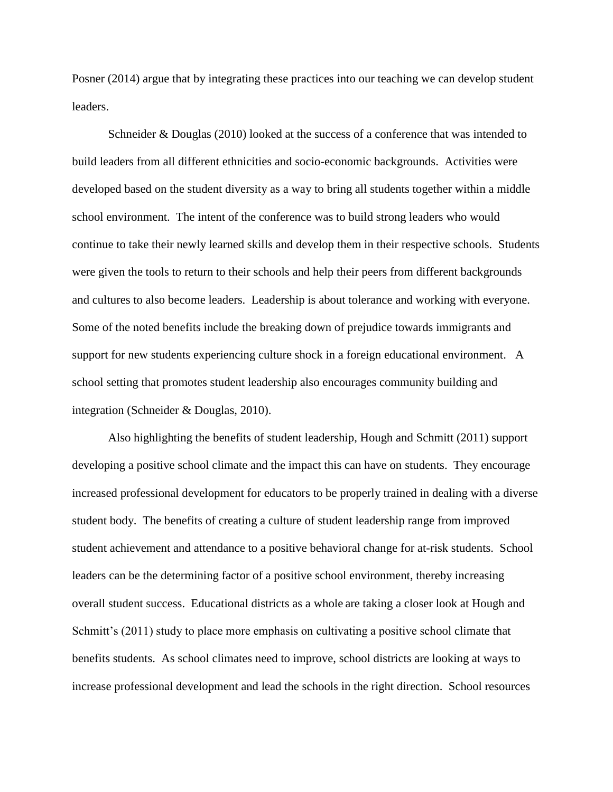Posner (2014) argue that by integrating these practices into our teaching we can develop student leaders.

Schneider & Douglas (2010) looked at the success of a conference that was intended to build leaders from all different ethnicities and socio-economic backgrounds. Activities were developed based on the student diversity as a way to bring all students together within a middle school environment. The intent of the conference was to build strong leaders who would continue to take their newly learned skills and develop them in their respective schools. Students were given the tools to return to their schools and help their peers from different backgrounds and cultures to also become leaders. Leadership is about tolerance and working with everyone. Some of the noted benefits include the breaking down of prejudice towards immigrants and support for new students experiencing culture shock in a foreign educational environment. A school setting that promotes student leadership also encourages community building and integration (Schneider & Douglas, 2010).

Also highlighting the benefits of student leadership, Hough and Schmitt (2011) support developing a positive school climate and the impact this can have on students. They encourage increased professional development for educators to be properly trained in dealing with a diverse student body. The benefits of creating a culture of student leadership range from improved student achievement and attendance to a positive behavioral change for at-risk students. School leaders can be the determining factor of a positive school environment, thereby increasing overall student success. Educational districts as a whole are taking a closer look at Hough and Schmitt's (2011) study to place more emphasis on cultivating a positive school climate that benefits students. As school climates need to improve, school districts are looking at ways to increase professional development and lead the schools in the right direction. School resources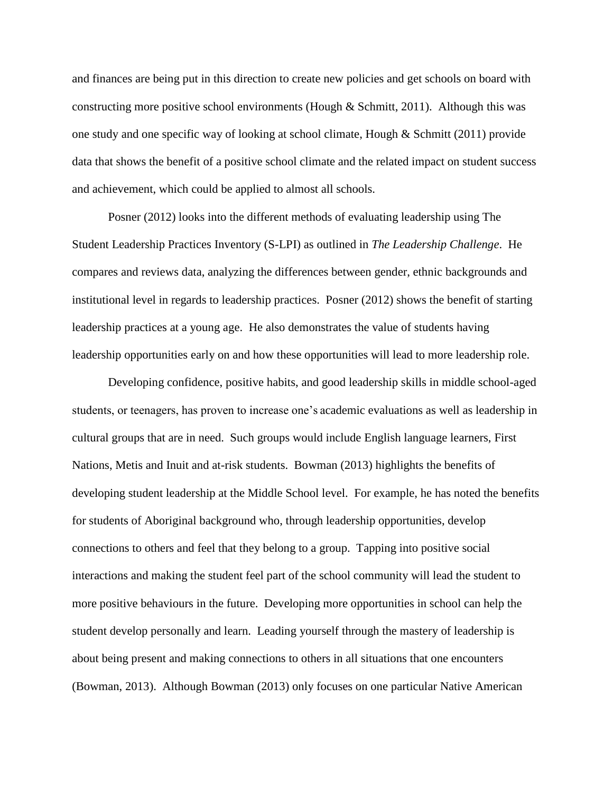and finances are being put in this direction to create new policies and get schools on board with constructing more positive school environments (Hough  $&$  Schmitt, 2011). Although this was one study and one specific way of looking at school climate, Hough & Schmitt (2011) provide data that shows the benefit of a positive school climate and the related impact on student success and achievement, which could be applied to almost all schools.

Posner (2012) looks into the different methods of evaluating leadership using The Student Leadership Practices Inventory (S-LPI) as outlined in *The Leadership Challenge*. He compares and reviews data, analyzing the differences between gender, ethnic backgrounds and institutional level in regards to leadership practices. Posner (2012) shows the benefit of starting leadership practices at a young age. He also demonstrates the value of students having leadership opportunities early on and how these opportunities will lead to more leadership role.

Developing confidence, positive habits, and good leadership skills in middle school-aged students, or teenagers, has proven to increase one's academic evaluations as well as leadership in cultural groups that are in need. Such groups would include English language learners, First Nations, Metis and Inuit and at-risk students. Bowman (2013) highlights the benefits of developing student leadership at the Middle School level. For example, he has noted the benefits for students of Aboriginal background who, through leadership opportunities, develop connections to others and feel that they belong to a group. Tapping into positive social interactions and making the student feel part of the school community will lead the student to more positive behaviours in the future. Developing more opportunities in school can help the student develop personally and learn. Leading yourself through the mastery of leadership is about being present and making connections to others in all situations that one encounters (Bowman, 2013). Although Bowman (2013) only focuses on one particular Native American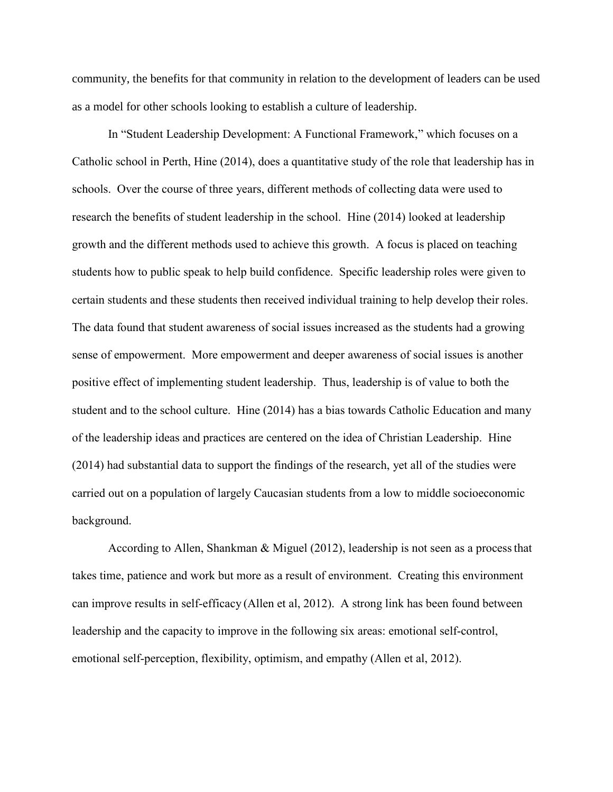community, the benefits for that community in relation to the development of leaders can be used as a model for other schools looking to establish a culture of leadership.

In "Student Leadership Development: A Functional Framework," which focuses on a Catholic school in Perth, Hine (2014), does a quantitative study of the role that leadership has in schools. Over the course of three years, different methods of collecting data were used to research the benefits of student leadership in the school. Hine (2014) looked at leadership growth and the different methods used to achieve this growth. A focus is placed on teaching students how to public speak to help build confidence. Specific leadership roles were given to certain students and these students then received individual training to help develop their roles. The data found that student awareness of social issues increased as the students had a growing sense of empowerment. More empowerment and deeper awareness of social issues is another positive effect of implementing student leadership. Thus, leadership is of value to both the student and to the school culture. Hine (2014) has a bias towards Catholic Education and many of the leadership ideas and practices are centered on the idea of Christian Leadership. Hine (2014) had substantial data to support the findings of the research, yet all of the studies were carried out on a population of largely Caucasian students from a low to middle socioeconomic background.

According to Allen, Shankman & Miguel (2012), leadership is not seen as a processthat takes time, patience and work but more as a result of environment. Creating this environment can improve results in self-efficacy (Allen et al, 2012). A strong link has been found between leadership and the capacity to improve in the following six areas: emotional self-control, emotional self-perception, flexibility, optimism, and empathy (Allen et al, 2012).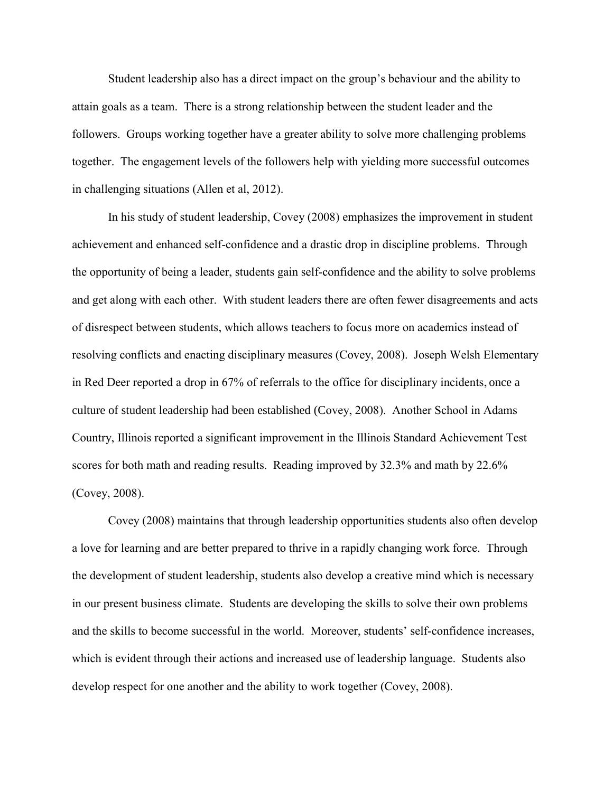Student leadership also has a direct impact on the group's behaviour and the ability to attain goals as a team. There is a strong relationship between the student leader and the followers. Groups working together have a greater ability to solve more challenging problems together. The engagement levels of the followers help with yielding more successful outcomes in challenging situations (Allen et al, 2012).

In his study of student leadership, Covey (2008) emphasizes the improvement in student achievement and enhanced self-confidence and a drastic drop in discipline problems. Through the opportunity of being a leader, students gain self-confidence and the ability to solve problems and get along with each other. With student leaders there are often fewer disagreements and acts of disrespect between students, which allows teachers to focus more on academics instead of resolving conflicts and enacting disciplinary measures (Covey, 2008). Joseph Welsh Elementary in Red Deer reported a drop in 67% of referrals to the office for disciplinary incidents, once a culture of student leadership had been established (Covey, 2008). Another School in Adams Country, Illinois reported a significant improvement in the Illinois Standard Achievement Test scores for both math and reading results. Reading improved by 32.3% and math by 22.6% (Covey, 2008).

Covey (2008) maintains that through leadership opportunities students also often develop a love for learning and are better prepared to thrive in a rapidly changing work force. Through the development of student leadership, students also develop a creative mind which is necessary in our present business climate. Students are developing the skills to solve their own problems and the skills to become successful in the world. Moreover, students' self-confidence increases, which is evident through their actions and increased use of leadership language. Students also develop respect for one another and the ability to work together (Covey, 2008).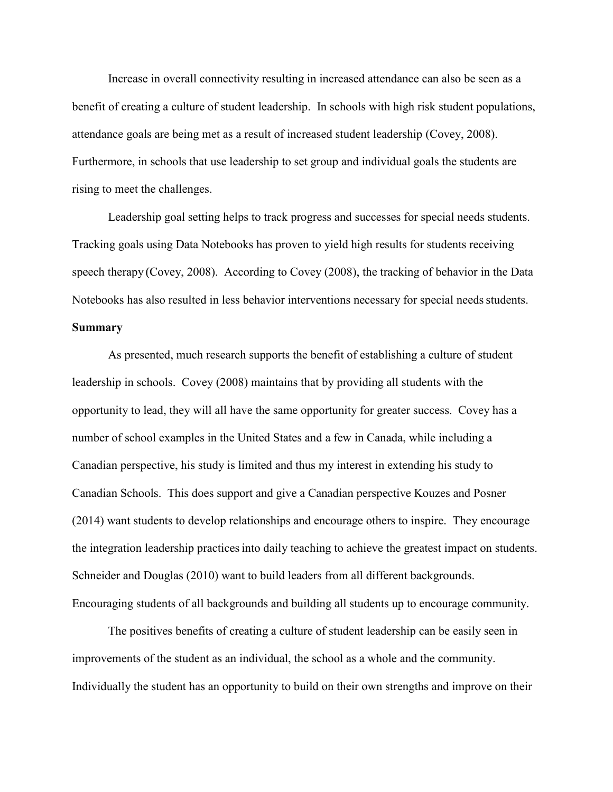Increase in overall connectivity resulting in increased attendance can also be seen as a benefit of creating a culture of student leadership. In schools with high risk student populations, attendance goals are being met as a result of increased student leadership (Covey, 2008). Furthermore, in schools that use leadership to set group and individual goals the students are rising to meet the challenges.

Leadership goal setting helps to track progress and successes for special needs students. Tracking goals using Data Notebooks has proven to yield high results for students receiving speech therapy (Covey, 2008). According to Covey (2008), the tracking of behavior in the Data Notebooks has also resulted in less behavior interventions necessary for special needs students.

#### **Summary**

As presented, much research supports the benefit of establishing a culture of student leadership in schools. Covey (2008) maintains that by providing all students with the opportunity to lead, they will all have the same opportunity for greater success. Covey has a number of school examples in the United States and a few in Canada, while including a Canadian perspective, his study is limited and thus my interest in extending his study to Canadian Schools. This does support and give a Canadian perspective Kouzes and Posner (2014) want students to develop relationships and encourage others to inspire. They encourage the integration leadership practices into daily teaching to achieve the greatest impact on students. Schneider and Douglas (2010) want to build leaders from all different backgrounds. Encouraging students of all backgrounds and building all students up to encourage community.

The positives benefits of creating a culture of student leadership can be easily seen in improvements of the student as an individual, the school as a whole and the community. Individually the student has an opportunity to build on their own strengths and improve on their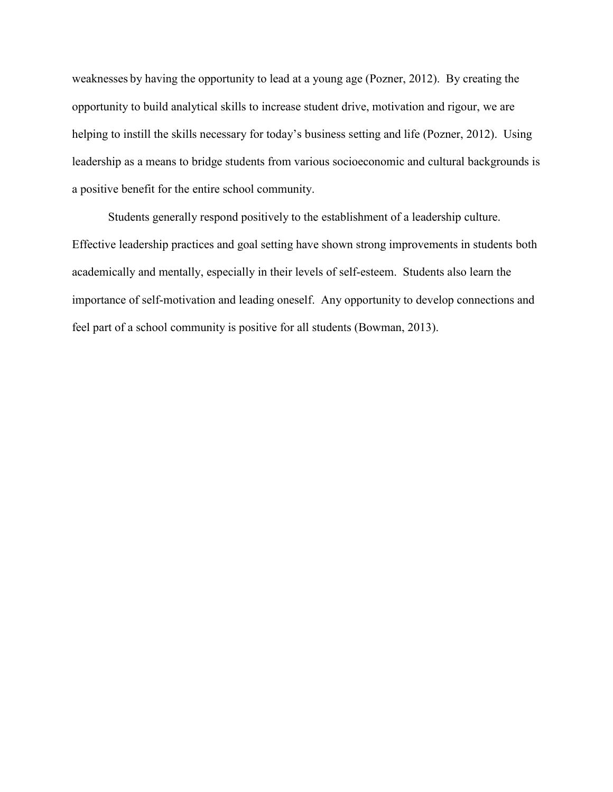weaknesses by having the opportunity to lead at a young age (Pozner, 2012). By creating the opportunity to build analytical skills to increase student drive, motivation and rigour, we are helping to instill the skills necessary for today's business setting and life (Pozner, 2012). Using leadership as a means to bridge students from various socioeconomic and cultural backgrounds is a positive benefit for the entire school community.

Students generally respond positively to the establishment of a leadership culture. Effective leadership practices and goal setting have shown strong improvements in students both academically and mentally, especially in their levels of self-esteem. Students also learn the importance of self-motivation and leading oneself. Any opportunity to develop connections and feel part of a school community is positive for all students (Bowman, 2013).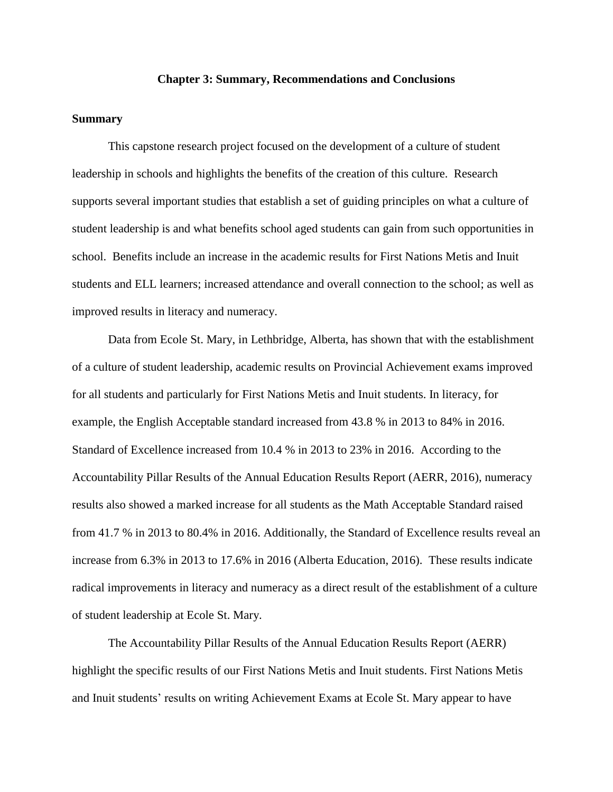#### **Chapter 3: Summary, Recommendations and Conclusions**

#### <span id="page-22-1"></span><span id="page-22-0"></span>**Summary**

This capstone research project focused on the development of a culture of student leadership in schools and highlights the benefits of the creation of this culture. Research supports several important studies that establish a set of guiding principles on what a culture of student leadership is and what benefits school aged students can gain from such opportunities in school. Benefits include an increase in the academic results for First Nations Metis and Inuit students and ELL learners; increased attendance and overall connection to the school; as well as improved results in literacy and numeracy.

Data from Ecole St. Mary, in Lethbridge, Alberta, has shown that with the establishment of a culture of student leadership, academic results on Provincial Achievement exams improved for all students and particularly for First Nations Metis and Inuit students. In literacy, for example, the English Acceptable standard increased from 43.8 % in 2013 to 84% in 2016. Standard of Excellence increased from 10.4 % in 2013 to 23% in 2016. According to the Accountability Pillar Results of the Annual Education Results Report (AERR, 2016), numeracy results also showed a marked increase for all students as the Math Acceptable Standard raised from 41.7 % in 2013 to 80.4% in 2016. Additionally, the Standard of Excellence results reveal an increase from 6.3% in 2013 to 17.6% in 2016 (Alberta Education, 2016). These results indicate radical improvements in literacy and numeracy as a direct result of the establishment of a culture of student leadership at Ecole St. Mary.

The Accountability Pillar Results of the Annual Education Results Report (AERR) highlight the specific results of our First Nations Metis and Inuit students. First Nations Metis and Inuit students' results on writing Achievement Exams at Ecole St. Mary appear to have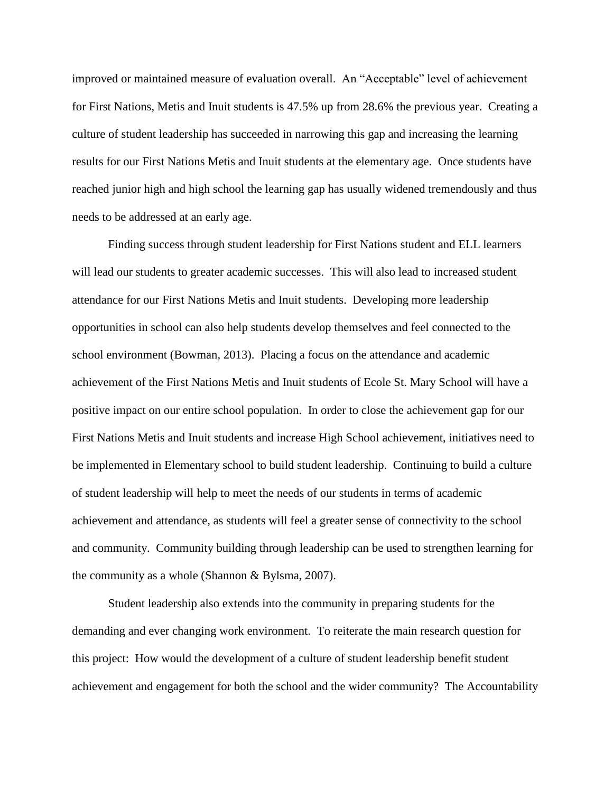improved or maintained measure of evaluation overall. An "Acceptable" level of achievement for First Nations, Metis and Inuit students is 47.5% up from 28.6% the previous year. Creating a culture of student leadership has succeeded in narrowing this gap and increasing the learning results for our First Nations Metis and Inuit students at the elementary age. Once students have reached junior high and high school the learning gap has usually widened tremendously and thus needs to be addressed at an early age.

Finding success through student leadership for First Nations student and ELL learners will lead our students to greater academic successes. This will also lead to increased student attendance for our First Nations Metis and Inuit students. Developing more leadership opportunities in school can also help students develop themselves and feel connected to the school environment (Bowman, 2013). Placing a focus on the attendance and academic achievement of the First Nations Metis and Inuit students of Ecole St. Mary School will have a positive impact on our entire school population. In order to close the achievement gap for our First Nations Metis and Inuit students and increase High School achievement, initiatives need to be implemented in Elementary school to build student leadership. Continuing to build a culture of student leadership will help to meet the needs of our students in terms of academic achievement and attendance, as students will feel a greater sense of connectivity to the school and community. Community building through leadership can be used to strengthen learning for the community as a whole (Shannon & Bylsma, 2007).

Student leadership also extends into the community in preparing students for the demanding and ever changing work environment. To reiterate the main research question for this project: How would the development of a culture of student leadership benefit student achievement and engagement for both the school and the wider community? The Accountability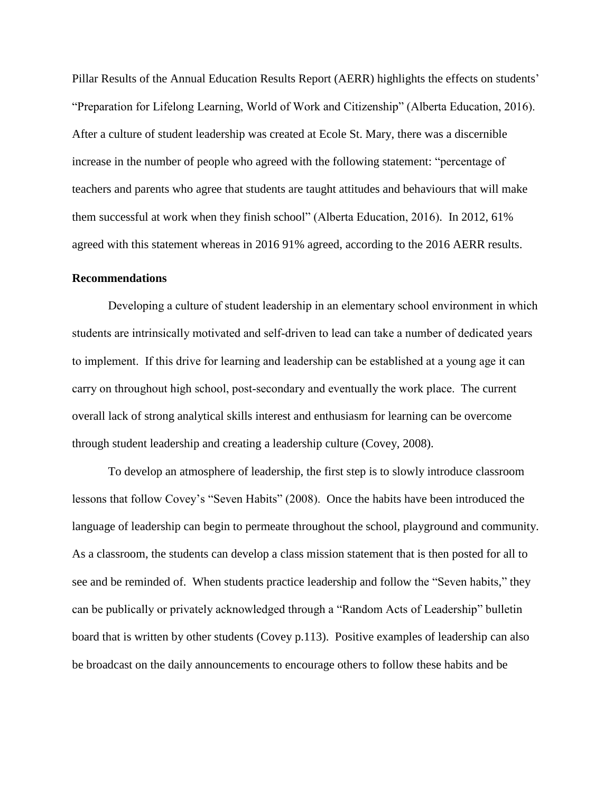Pillar Results of the Annual Education Results Report (AERR) highlights the effects on students' "Preparation for Lifelong Learning, World of Work and Citizenship" (Alberta Education, 2016). After a culture of student leadership was created at Ecole St. Mary, there was a discernible increase in the number of people who agreed with the following statement: "percentage of teachers and parents who agree that students are taught attitudes and behaviours that will make them successful at work when they finish school" (Alberta Education, 2016). In 2012, 61% agreed with this statement whereas in 2016 91% agreed, according to the 2016 AERR results.

#### <span id="page-24-0"></span>**Recommendations**

Developing a culture of student leadership in an elementary school environment in which students are intrinsically motivated and self-driven to lead can take a number of dedicated years to implement. If this drive for learning and leadership can be established at a young age it can carry on throughout high school, post-secondary and eventually the work place. The current overall lack of strong analytical skills interest and enthusiasm for learning can be overcome through student leadership and creating a leadership culture (Covey, 2008).

To develop an atmosphere of leadership, the first step is to slowly introduce classroom lessons that follow Covey's "Seven Habits" (2008). Once the habits have been introduced the language of leadership can begin to permeate throughout the school, playground and community. As a classroom, the students can develop a class mission statement that is then posted for all to see and be reminded of. When students practice leadership and follow the "Seven habits," they can be publically or privately acknowledged through a "Random Acts of Leadership" bulletin board that is written by other students (Covey p.113). Positive examples of leadership can also be broadcast on the daily announcements to encourage others to follow these habits and be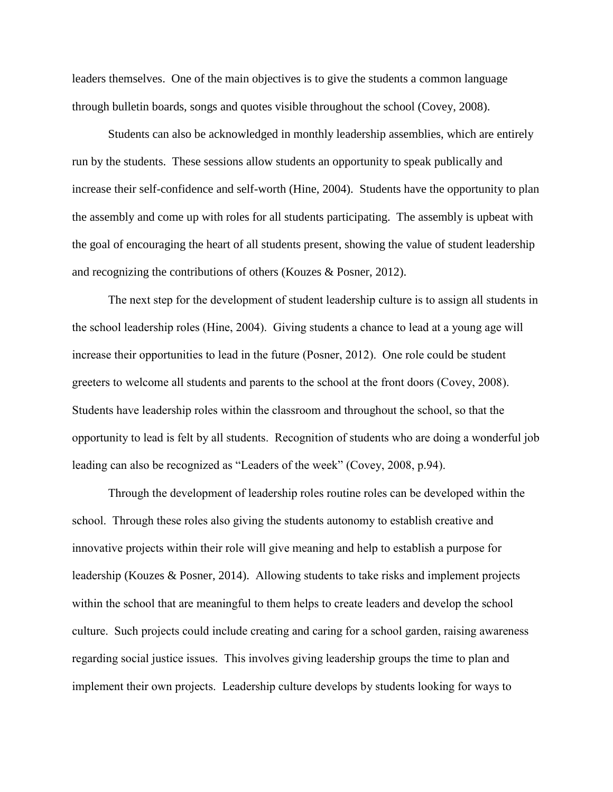leaders themselves. One of the main objectives is to give the students a common language through bulletin boards, songs and quotes visible throughout the school (Covey, 2008).

Students can also be acknowledged in monthly leadership assemblies, which are entirely run by the students. These sessions allow students an opportunity to speak publically and increase their self-confidence and self-worth (Hine, 2004). Students have the opportunity to plan the assembly and come up with roles for all students participating. The assembly is upbeat with the goal of encouraging the heart of all students present, showing the value of student leadership and recognizing the contributions of others (Kouzes & Posner, 2012).

The next step for the development of student leadership culture is to assign all students in the school leadership roles (Hine, 2004). Giving students a chance to lead at a young age will increase their opportunities to lead in the future (Posner, 2012). One role could be student greeters to welcome all students and parents to the school at the front doors (Covey, 2008). Students have leadership roles within the classroom and throughout the school, so that the opportunity to lead is felt by all students. Recognition of students who are doing a wonderful job leading can also be recognized as "Leaders of the week" (Covey, 2008, p.94).

Through the development of leadership roles routine roles can be developed within the school. Through these roles also giving the students autonomy to establish creative and innovative projects within their role will give meaning and help to establish a purpose for leadership (Kouzes & Posner, 2014). Allowing students to take risks and implement projects within the school that are meaningful to them helps to create leaders and develop the school culture. Such projects could include creating and caring for a school garden, raising awareness regarding social justice issues. This involves giving leadership groups the time to plan and implement their own projects. Leadership culture develops by students looking for ways to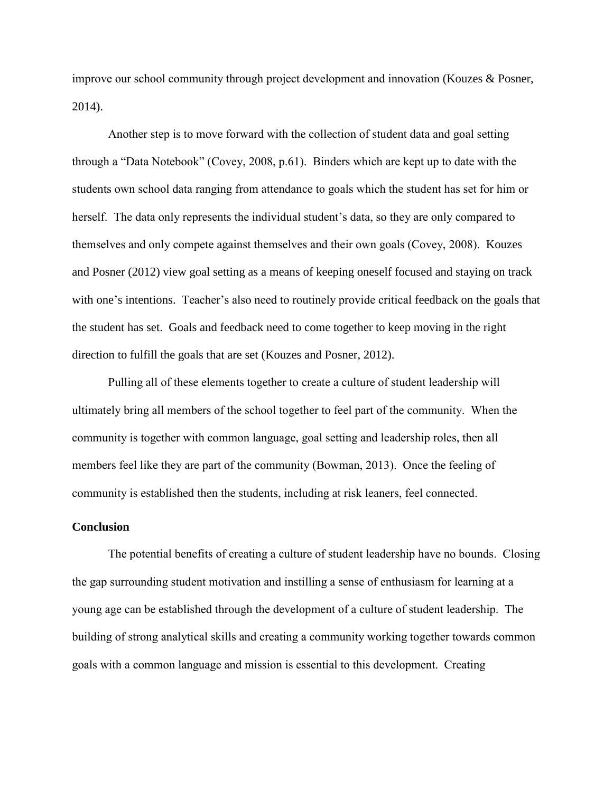improve our school community through project development and innovation (Kouzes & Posner, 2014).

Another step is to move forward with the collection of student data and goal setting through a "Data Notebook" (Covey, 2008, p.61). Binders which are kept up to date with the students own school data ranging from attendance to goals which the student has set for him or herself. The data only represents the individual student's data, so they are only compared to themselves and only compete against themselves and their own goals (Covey, 2008). Kouzes and Posner (2012) view goal setting as a means of keeping oneself focused and staying on track with one's intentions. Teacher's also need to routinely provide critical feedback on the goals that the student has set. Goals and feedback need to come together to keep moving in the right direction to fulfill the goals that are set (Kouzes and Posner, 2012).

Pulling all of these elements together to create a culture of student leadership will ultimately bring all members of the school together to feel part of the community. When the community is together with common language, goal setting and leadership roles, then all members feel like they are part of the community (Bowman, 2013). Once the feeling of community is established then the students, including at risk leaners, feel connected.

#### <span id="page-26-0"></span>**Conclusion**

The potential benefits of creating a culture of student leadership have no bounds. Closing the gap surrounding student motivation and instilling a sense of enthusiasm for learning at a young age can be established through the development of a culture of student leadership. The building of strong analytical skills and creating a community working together towards common goals with a common language and mission is essential to this development. Creating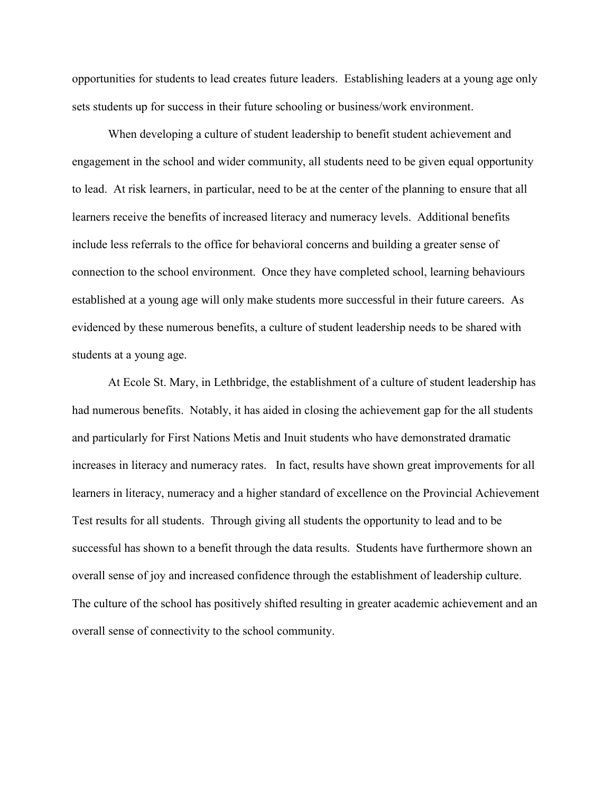opportunities for students to lead creates future leaders. Establishing leaders at a young age only sets students up for success in their future schooling or business/work environment.

When developing a culture of student leadership to benefit student achievement and engagement in the school and wider community, all students need to be given equal opportunity to lead. At risk learners, in particular, need to be at the center of the planning to ensure that all learners receive the benefits of increased literacy and numeracy levels. Additional benefits include less referrals to the office for behavioral concerns and building a greater sense of connection to the school environment. Once they have completed school, learning behaviours established at a young age will only make students more successful in their future careers. As evidenced by these numerous benefits, a culture of student leadership needs to be shared with students at a young age.

At Ecole St. Mary, in Lethbridge, the establishment of a culture of student leadership has had numerous benefits. Notably, it has aided in closing the achievement gap for the all students and particularly for First Nations Metis and Inuit students who have demonstrated dramatic increases in literacy and numeracy rates. In fact, results have shown great improvements for all learners in literacy, numeracy and a higher standard of excellence on the Provincial Achievement Test results for all students. Through giving all students the opportunity to lead and to be successful has shown to a benefit through the data results. Students have furthermore shown an overall sense of joy and increased confidence through the establishment of leadership culture. The culture of the school has positively shifted resulting in greater academic achievement and an overall sense of connectivity to the school community.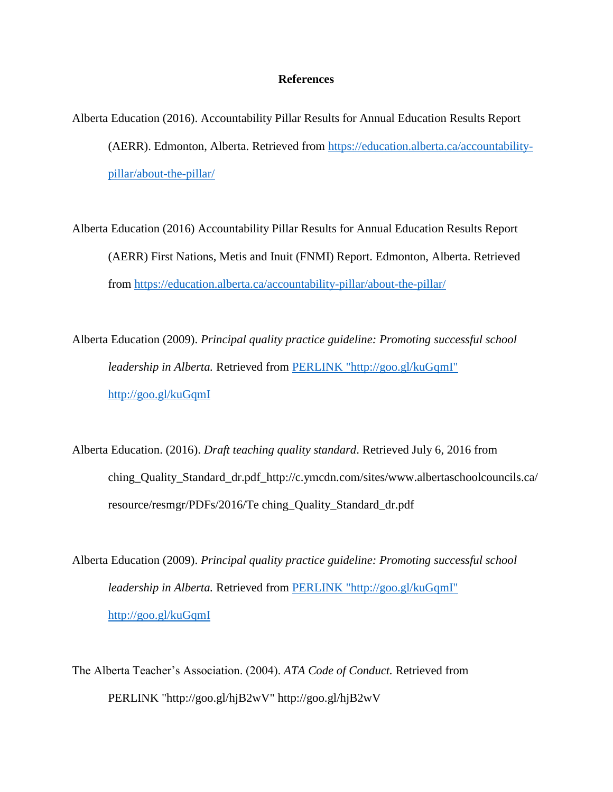#### **References**

- <span id="page-29-0"></span>Alberta Education (2016). Accountability Pillar Results for Annual Education Results Report (AERR). Edmonton, Alberta. Retrieved from [https://education.alberta.ca/accountability](https://education.alberta.ca/accountability-pillar/about-the-pillar/)[pillar/about-the-pillar/](https://education.alberta.ca/accountability-pillar/about-the-pillar/)
- Alberta Education (2016) Accountability Pillar Results for Annual Education Results Report (AERR) First Nations, Metis and Inuit (FNMI) Report. Edmonton, Alberta. Retrieved from<https://education.alberta.ca/accountability-pillar/about-the-pillar/>
- Alberta Education (2009). *Principal quality practice guideline: Promoting successful school leadership in Alberta.* Retrieved from [PERLINK "http://goo.gl/kuGqmI"](file:///C:/Users/FrizzleyS/Documents/MasterCapstone/Master%20Capstone%202016/PERLINK%20%22http:/goo.gl/kuGqmI%22%20http:/goo.gl/kuGqmI)  [http://goo.gl/kuGqmI](file:///C:/Users/FrizzleyS/Documents/MasterCapstone/Master%20Capstone%202016/PERLINK%20%22http:/goo.gl/kuGqmI%22%20http:/goo.gl/kuGqmI)
- Alberta Education. (2016). *Draft teaching quality standard*. Retrieved July 6, 2016 from [ching\\_Quality\\_Standard\\_dr.pdf\\_http://c.ymcdn.com/sites/www.albertaschoolcouncils.ca/](http://c.ymcdn.com/sites/www.albertaschoolcouncils.ca/resource/resmgr/PDFs/2016/Te) [resource/resmgr/PDFs/2016/Te ching\\_Quality\\_Standard\\_dr.pdf](http://c.ymcdn.com/sites/www.albertaschoolcouncils.ca/resource/resmgr/PDFs/2016/Te)
- Alberta Education (2009). *Principal quality practice guideline: Promoting successful school leadership in Alberta.* Retrieved from [PERLINK "http://goo.gl/kuGqmI"](file:///C:/Users/FrizzleyS/Documents/MasterCapstone/Master%20Capstone%202016/PERLINK%20%22http:/goo.gl/kuGqmI%22%20http:/goo.gl/kuGqmI)  [http://goo.gl/kuGqmI](file:///C:/Users/FrizzleyS/Documents/MasterCapstone/Master%20Capstone%202016/PERLINK%20%22http:/goo.gl/kuGqmI%22%20http:/goo.gl/kuGqmI)
- The Alberta Teacher's Association. (2004). *ATA Code of Conduct.* Retrieved from PERLINK "http://goo.gl/hjB2wV" http://goo.gl/hjB2wV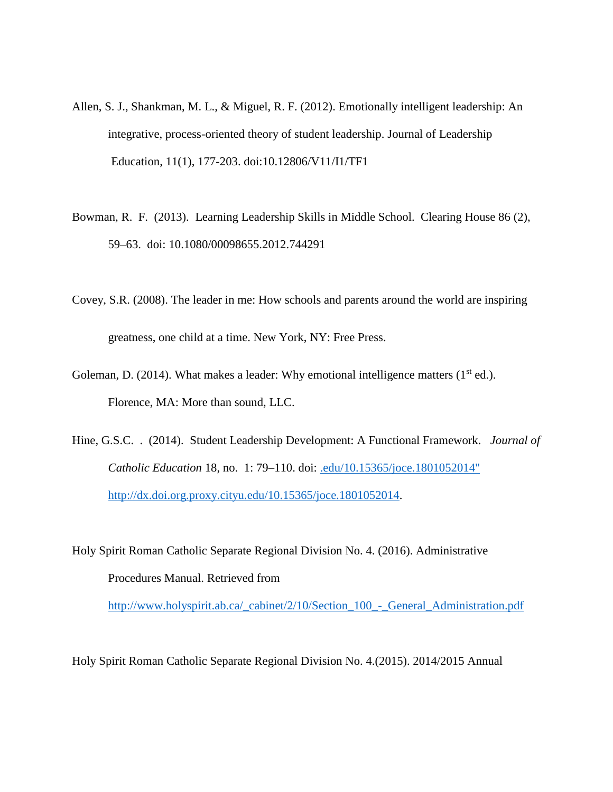- Allen, S. J., Shankman, M. L., & Miguel, R. F. (2012). Emotionally intelligent leadership: An integrative, process-oriented theory of student leadership. Journal of Leadership Education, 11(1), 177-203. doi:10.12806/V11/I1/TF1
- Bowman, R. F. (2013). Learning Leadership Skills in Middle School. Clearing House 86 (2), 59–63. doi: 10.1080/00098655.2012.744291
- Covey, S.R. (2008). The leader in me: How schools and parents around the world are inspiring greatness, one child at a time. New York, NY: Free Press.
- Goleman, D. (2014). What makes a leader: Why emotional intelligence matters  $(1<sup>st</sup>$  ed.). Florence, MA: More than sound, LLC.
- Hine, G.S.C. . (2014). Student Leadership Development: A Functional Framework. *Journal of Catholic Education* 18, no. 1: 79–110. doi: [.edu/10.15365/joce.1801052014"](file:///C:/Users/FrizzleyS/Documents/MasterCapstone/Master%20Capstone%202016/.edu/10.15365/joce.1801052014%22%20http:/dx.doi.org.proxy.cityu.edu/10.15365/joce.1801052014)  [http://dx.doi.org.proxy.cityu.edu/10.15365/joce.1801052014.](file:///C:/Users/FrizzleyS/Documents/MasterCapstone/Master%20Capstone%202016/.edu/10.15365/joce.1801052014%22%20http:/dx.doi.org.proxy.cityu.edu/10.15365/joce.1801052014)

Holy Spirit Roman Catholic Separate Regional Division No. 4. (2016). Administrative Procedures Manual. Retrieved from

[http://www.holyspirit.ab.ca/\\_cabinet/2/10/Section\\_100\\_-\\_General\\_Administration.pdf](http://www.holyspirit.ab.ca/_cabinet/2/10/Section_100_-_General_Administration.pdf)

Holy Spirit Roman Catholic Separate Regional Division No. 4.(2015). 2014/2015 Annual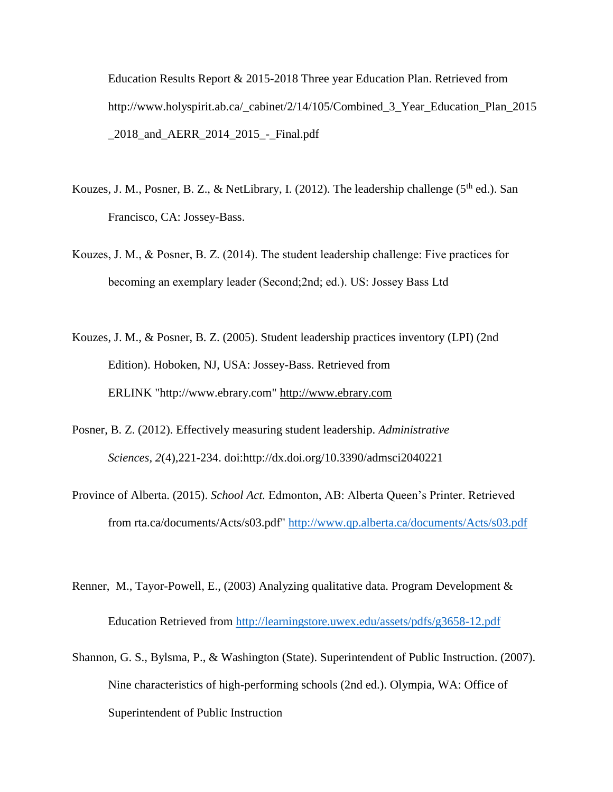Education Results Report & 2015-2018 Three year Education Plan. Retrieved from http://www.holyspirit.ab.ca/\_cabinet/2/14/105/Combined\_3\_Year\_Education\_Plan\_2015 \_2018\_and\_AERR\_2014\_2015\_-\_Final.pdf

- Kouzes, J. M., Posner, B. Z., & NetLibrary, I. (2012). The leadership challenge ( $5<sup>th</sup>$  ed.). San Francisco, CA: Jossey-Bass.
- Kouzes, J. M., & Posner, B. Z. (2014). The student leadership challenge: Five practices for becoming an exemplary leader (Second;2nd; ed.). US: Jossey Bass Ltd
- Kouzes, J. M., & Posner, B. Z. (2005). Student leadership practices inventory (LPI) (2nd Edition). Hoboken, NJ, USA: Jossey-Bass. Retrieved from ERLINK "http://www.ebrary.com" http://www.ebrary.com
- Posner, B. Z. (2012). Effectively measuring student leadership. *Administrative Sciences, 2*(4),221-234. doi:http://dx.doi.org/10.3390/admsci2040221
- Province of Alberta. (2015). *School Act.* Edmonton, AB: Alberta Queen's Printer. Retrieved from [rta.ca/documents/Acts/s03.pdf" http://www.qp.alberta.ca/documents/Acts/s03.pdf](http://www.qp.albe/)
- Renner, M., Tayor-Powell, E., (2003) Analyzing qualitative data. Program Development & Education Retrieved from<http://learningstore.uwex.edu/assets/pdfs/g3658-12.pdf>
- Shannon, G. S., Bylsma, P., & Washington (State). Superintendent of Public Instruction. (2007). Nine characteristics of high-performing schools (2nd ed.). Olympia, WA: Office of Superintendent of Public Instruction